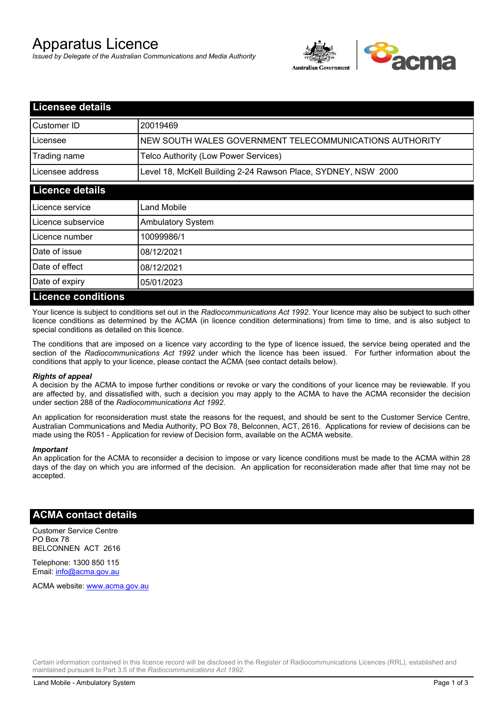# Apparatus Licence

*Issued by Delegate of the Australian Communications and Media Authority*



| <b>Licensee details</b>   |                                                               |  |
|---------------------------|---------------------------------------------------------------|--|
| Customer ID               | 20019469                                                      |  |
| Licensee                  | NEW SOUTH WALES GOVERNMENT TELECOMMUNICATIONS AUTHORITY       |  |
| Trading name              | Telco Authority (Low Power Services)                          |  |
| Licensee address          | Level 18, McKell Building 2-24 Rawson Place, SYDNEY, NSW 2000 |  |
| <b>Licence details</b>    |                                                               |  |
| Licence service           | Land Mobile                                                   |  |
| Licence subservice        | <b>Ambulatory System</b>                                      |  |
| Licence number            | 10099986/1                                                    |  |
| Date of issue             | 08/12/2021                                                    |  |
| Date of effect            | 08/12/2021                                                    |  |
| Date of expiry            | 05/01/2023                                                    |  |
| <b>Licence conditions</b> |                                                               |  |

Your licence is subject to conditions set out in the *Radiocommunications Act 1992*. Your licence may also be subject to such other licence conditions as determined by the ACMA (in licence condition determinations) from time to time, and is also subject to special conditions as detailed on this licence.

The conditions that are imposed on a licence vary according to the type of licence issued, the service being operated and the section of the *Radiocommunications Act 1992* under which the licence has been issued. For further information about the conditions that apply to your licence, please contact the ACMA (see contact details below).

### *Rights of appeal*

A decision by the ACMA to impose further conditions or revoke or vary the conditions of your licence may be reviewable. If you are affected by, and dissatisfied with, such a decision you may apply to the ACMA to have the ACMA reconsider the decision under section 288 of the *Radiocommunications Act 1992*.

An application for reconsideration must state the reasons for the request, and should be sent to the Customer Service Centre, Australian Communications and Media Authority, PO Box 78, Belconnen, ACT, 2616. Applications for review of decisions can be made using the R051 - Application for review of Decision form, available on the ACMA website.

#### *Important*

An application for the ACMA to reconsider a decision to impose or vary licence conditions must be made to the ACMA within 28 days of the day on which you are informed of the decision. An application for reconsideration made after that time may not be accepted.

### **ACMA contact details**

Customer Service Centre PO Box 78 BELCONNEN ACT 2616

Telephone: 1300 850 115 Email: info@acma.gov.au

ACMA website: www.acma.gov.au

Certain information contained in this licence record will be disclosed in the Register of Radiocommunications Licences (RRL), established and maintained pursuant to Part 3.5 of the *Radiocommunications Act 1992.*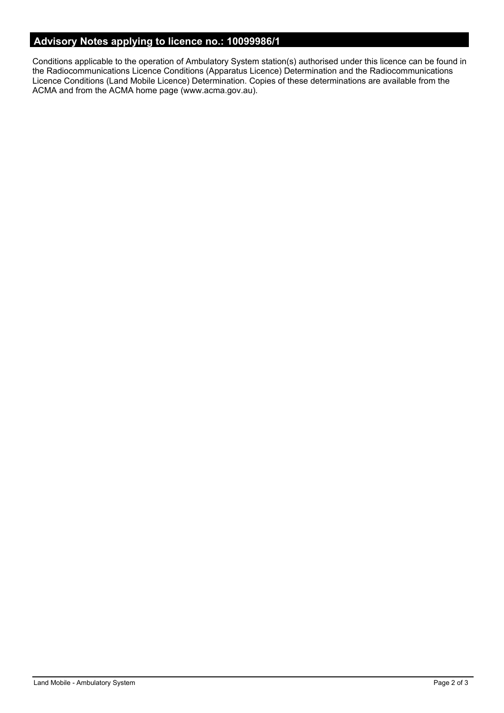# **Advisory Notes applying to licence no.: 10099986/1**

Conditions applicable to the operation of Ambulatory System station(s) authorised under this licence can be found in the Radiocommunications Licence Conditions (Apparatus Licence) Determination and the Radiocommunications Licence Conditions (Land Mobile Licence) Determination. Copies of these determinations are available from the ACMA and from the ACMA home page (www.acma.gov.au).